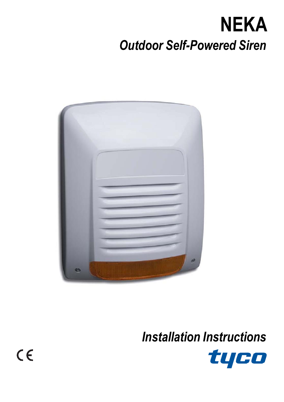# **NEKA** *Outdoor Self-Powered Siren*



*Installation Instructions*



 $C \in$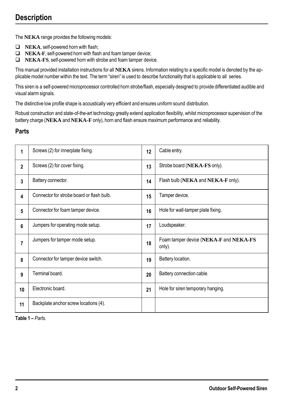# **Description**

The **NEKA** range provides the following models:

- **NEKA**, self-powered horn with flash;
- **NEKA-F**, self-powered horn with flash and foam tamper device:
- **NEKA-FS**, self-powered horn with strobe and foam tamper device.

This manual provided installation instructions for all **NEKA** sirens. Information relating to a specific model is denoted by the applicable model number within the text. The term "siren" is used to describe functionality that is applicable to all series.

This siren is a self-powered microprocessor controlled horn strobe/flash, especially designed to provide differentiated audible and visual alarm signals.

The distinctive low profile shape is acoustically very efficient and ensures uniform sound distribution.

Robust construction and state-of-the-art technology greatly extend application flexibility, whilst microprocessor supervision of the battery charge (**NEKA** and **NEKA-F** only), horn and flash ensure maximum performance and reliability.

#### **Parts**

| 1              | Screws (2) for innerplate fixing.         | 12 | Cable entry.                                     |
|----------------|-------------------------------------------|----|--------------------------------------------------|
| $\overline{2}$ | Screws (2) for cover fixing.              | 13 | Strobe board (NEKA-FS only).                     |
| 3              | Battery connector.                        | 14 | Flash bulb (NEKA and NEKA-F only).               |
| 4              | Connector for strobe board or flash bulb. | 15 | Tamper device.                                   |
| 5              | Connector for foam tamper device.         | 16 | Hole for wall-tamper plate fixing.               |
| 6              | Jumpers for operating mode setup.         | 17 | Loudspeaker.                                     |
| 7              | Jumpers for tamper mode setup.            | 18 | Foam tamper device (NEKA-F and NEKA-FS<br>only). |
| 8              | Connector for tamper device switch.       | 19 | Battery location.                                |
| 9              | Terminal board.                           | 20 | Battery connection cable.                        |
| 10             | Electronic board.                         | 21 | Hole for siren temporary hanging.                |
| 11             | Backplate anchor screw locations (4).     |    |                                                  |

**Table 1 –** *Parts.*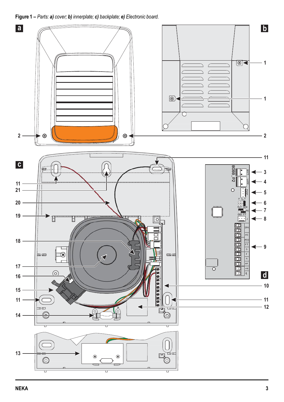<span id="page-2-0"></span>**Figure 1 –** *Parts: a) cover; b) innerplate; c) backplate; e) Electronic board.*

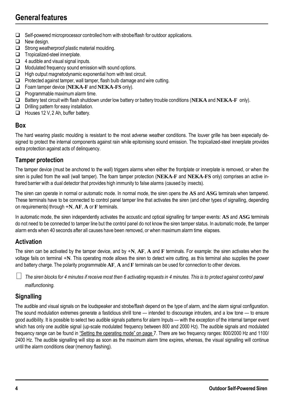# **General features**

- $\Box$  Self-powered microprocessor controlled horn with strobe/flash for outdoor applications.
- $\Box$  New design.
- $\Box$  Strong weatherproof plastic material moulding.
- $\Box$  Tropicalized-steel innerplate.
- $\Box$  4 audible and visual signal inputs.
- $\Box$  Modulated frequency sound emission with sound options.
- $\Box$  High output magnetodynamic exponential horn with test circuit.
- $\Box$  Protected against tamper, wall tamper, flash bulb damage and wire cutting.
- Foam tamper device (**NEKA-F** and **NEKA-FS** only).
- $\Box$  Programmable maximum alarm time.
- Battery test circuit with flash shutdown under low battery or battery trouble conditions (**NEKA** and **NEKA-F** only).
- $\Box$  Drilling pattern for easy installation.
- Houses 12 V, 2 Ah, buffer battery.

#### **Box**

The hard wearing plastic moulding is resistant to the most adverse weather conditions. The louver grille has been especially designed to protect the internal components against rain while epitomising sound emission. The tropicalized-steel innerplate provides extra protection against acts of delinquency.

#### **Tamper protection**

The tamper device (must be anchored to the wall) triggers alarms when either the frontplate or innerplate is removed, or when the siren is pulled from the wall (wall tamper). The foam tamper protection (NEKA-F and NEKA-FS only) comprises an active infrared barrier with a dual detector that provides high immunity to false alarms (caused by insects).

The siren can operate in normal or automatic mode. In normal mode, the siren opens the **AS** and **ASG** terminals when tampered. These terminals have to be connected to control panel tamper line that activates the siren (and other types of signalling, depending on requirements) through **+N**, **AF**, **A** or **F** terminals.

In automatic mode, the siren independently activates the acoustic and optical signalling for tamper events: **AS** and **ASG** terminals do not need to be connected to tamper line but the control panel do not know the siren tamper status. In automatic mode, the tamper alarm ends when 40 seconds after all causes have been removed, or when maximumalarm time elapses.

#### **Activation**

The siren can be activated by the tamper device, and by **+N**, **AF**, **A** and **F** terminals. For example: the siren activates when the voltage fails on terminal **+N**. This operating mode allows the siren to detect wire cutting, as this terminal also supplies the power and battery charge. The polarity programmable **AF**, **A** and **F** terminals can be used for connection to other devices.

*The siren blocks for 4 minutes if receive most then 6 activating requests in 4 minutes. This is to protect against control panel malfunctioning.*

## **Signalling**

The audible and visual signals on the loudspeaker and strobe/flash depend on the type of alarm, and the alarm signal configuration. The sound modulation extremes generate a fastidious shrill tone — intended to discourage intruders, and a low tone — to ensure good audibility. It is possible to select two audible signals patterns for alarm Inputs — with the exception of the internal tamper event which has only one audible signal (up-scale modulated frequency between 800 and 2000 Hz). The audible signals and modulated frequency range can be found in "Setting the [operating](#page-6-0) mode" on page 7. There are two frequency ranges: 800/2000 Hz and 1100/ 2400 Hz. The audible signalling will stop as soon as the maximum alarm time expires, whereas, the visual signalling will continue until the alarm conditions clear (memory flashing).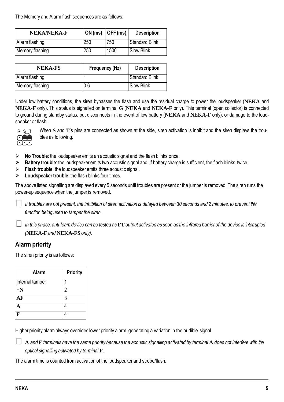The Memory and Alarm flash sequences are as follows:

| NEKA/NEKA-F     |     | ON (ms) $\vert$ OFF (ms) | <b>Description</b> |
|-----------------|-----|--------------------------|--------------------|
| Alarm flashing  | 250 | 750                      | Standard Blink     |
| Memory flashing | 250 | 1500                     | Slow Blink         |

| NEKA-FS         | Frequency (Hz) | <b>Description</b> |
|-----------------|----------------|--------------------|
| Alarm flashing  |                | Standard Blink     |
| Memory flashing | 0.6            | Slow Blink         |

Under low battery conditions, the siren bypasses the flash and use the residual charge to power the loudspeaker (**NEKA** and **NEKA-F** only). This status is signalled on terminal **G** (**NEKA** and **NEKA-F** only). This terminal (open collector) is connected to ground during standby status, but disconnects in the event of low battery (**NEKA** and **NEKA-F** only), or damage to the loudspeaker or flash.



When **S** and **T**'s pins are connected as shown at the side, siren activation is inhibit and the siren displays the troubles as following.

- **No Trouble**: the loudspeaker emits an acoustic signal and the flash blinks once.
- **Battery trouble**: the loudspeaker emits two acoustic signal and, if battery charge is sufficient, the flash blinks twice.
- **Flash trouble**: the loudspeaker emits three acoustic signal.
- **Loudspeaker trouble**: the flash blinks four times.

The above listed signalling are displayed every 5 seconds until troubles are present or the jumper is removed. The siren runs the power-up sequence when the jumper is removed.

*If troubles are not present, the inhibition of siren activation is delayed between 30 seconds and 2 minutes, to prevent this function being used to tamper the siren.*

 $\perp$  In this phase, anti-foam device can be tested as  ${\bf FT}$  output activates as soon as the infrared barrier of the device is interrupted *(***NEKA-F** *and* **NEKA-FS** *only).*

## **Alarm priority**

The siren priority is as follows:

| Alarm           | Priority |
|-----------------|----------|
| Internal tamper |          |
| $+N$            | 2        |
| АF              | 3        |
|                 |          |
|                 |          |

Higher priority alarm always overrides lower priority alarm, generating a variation in the audible signal.

**A** *and* **F** *terminals have the same priority because the acoustic signalling activated by terminal* **A** *does not interfere with the optical signalling activated by terminal* **F***.*

The alarm time is counted from activation of the loudspeaker and strobe/flash.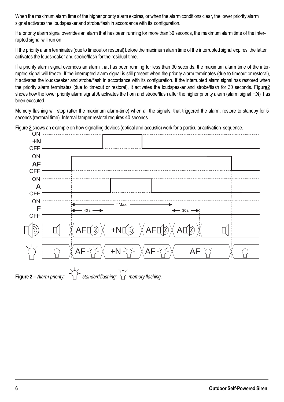<span id="page-5-0"></span>When the maximum alarm time of the higher priority alarm expires, or when the alarm conditions clear, the lower priority alarm signal activates the loudspeaker and strobe/flash in accordance with its configuration.

If a priority alarm signal overrides an alarm that has been running for more than 30 seconds, the maximum alarm time of the interrupted signal will run on.

If the priority alarm terminates (due to timeout or restoral) before the maximum alarm time of the interrupted signal expires, the latter activates the loudspeaker and strobe/flash for the residual time.

If a priority alarm signal overrides an alarm that has been running for less than 30 seconds, the maximum alarm time of the interrupted signal will freeze. If the interrupted alarm signal is still present when the priority alarm terminates (due to timeout or restoral), it activates the loudspeaker and strobe/flash in accordance with its configuration. If the interrupted alarm signal has restored when the priority alarm terminates (due to timeout or restoral), it activates the loudspeaker and strobe/flash for 30 seconds. Figur[e2](#page-5-0) shows how the lower priority alarm signal A activates the horn and strobe/flash after the higher priority alarm (alarm signal +N) has been executed.

Memory flashing will stop (after the maximum alarm-time) when all the signals, that triggered the alarm, restore to standby for 5 seconds (restoral time). Internal tamper restoral requires 40 seconds.

Figure [2](#page-5-0) shows an example on how signalling devices (optical and acoustic) work for a particular activation sequence.



**Figure 2 –** *Alarm priority: standard flashing; memory flashing.*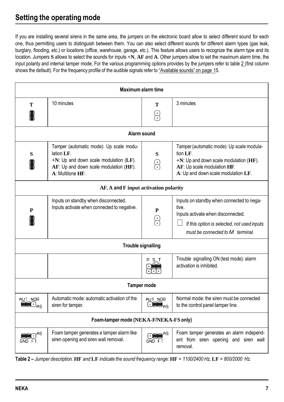# <span id="page-6-0"></span>**Setting the operating mode**

If you are installing several sirens in the same area, the jumpers on the electronic board allow to select different sound for each one, thus permitting users to distinguish between them. You can also select different sounds for different alarm types (gas leak, burglary, flooding, etc.) or locations (office, warehouse, garage, etc.). This feature allows users to recognize the alarm type and its location. Jumpers **S** allows to select the sounds for inputs **+N**, **AF** and **A**. Other jumpers allow to set the maximum alarm time, the input polarity and internal tamper mode. For the various programming options provides by the jumpers refer to table [2](#page-6-0) (first column shows the default). For the frequency profile of the audible signals refer to ["Available](#page-14-0) sounds" on page 15.

| <b>Maximum alarm time</b>                                          |                                                                                                                                                                  |                             |                                                                                                                                                                             |  |  |  |
|--------------------------------------------------------------------|------------------------------------------------------------------------------------------------------------------------------------------------------------------|-----------------------------|-----------------------------------------------------------------------------------------------------------------------------------------------------------------------------|--|--|--|
| т                                                                  | 10 minutes                                                                                                                                                       | т<br>S                      | 3 minutes                                                                                                                                                                   |  |  |  |
| Alarm sound                                                        |                                                                                                                                                                  |                             |                                                                                                                                                                             |  |  |  |
| S                                                                  | Tamper (automatic mode): Up scale modu-<br>lation LF.<br>$+N$ : Up and down scale modulation (LF).<br>AF: Up and down scale modulation (HF).<br>A: Multitone HF. | S<br>오                      | Tamper (automatic mode): Up scale modula-<br>tion LF.<br>$+N$ : Up and down scale modulation (HF).<br>AF: Up scale modulation HF.<br>A: Up and down scale modulation LF.    |  |  |  |
|                                                                    | AF, A and F input activation polarity                                                                                                                            |                             |                                                                                                                                                                             |  |  |  |
| P                                                                  | Inputs on standby when disconnected.<br>Inputs activate when connected to negative.                                                                              | P<br>옹                      | Inputs on standby when connected to nega-<br>tive.<br>Inputs activate when disconnected.<br>If this option is selected, not used inputs<br>must be connected to M terminal. |  |  |  |
|                                                                    | <b>Trouble signalling</b>                                                                                                                                        |                             |                                                                                                                                                                             |  |  |  |
|                                                                    |                                                                                                                                                                  |                             | Trouble signalling ON (test mode): alarm<br>activation is inhibited                                                                                                         |  |  |  |
| <b>Tamper mode</b>                                                 |                                                                                                                                                                  |                             |                                                                                                                                                                             |  |  |  |
| AUT NOR<br>$\blacksquare\!\!\blacksquare\!\!\square_{\mathsf{AS}}$ | Automatic mode: automatic activation of the<br>siren for tamper.                                                                                                 | AUT NOR<br>$C = \mathbf{S}$ | Normal mode: the siren must be connected<br>to the control panel tamper line.                                                                                               |  |  |  |
| Foam-tamper mode (NEKA-F/NEKA-FS only)                             |                                                                                                                                                                  |                             |                                                                                                                                                                             |  |  |  |
|                                                                    | Foam tamper generates a tamper alarm like<br>siren opening and siren wall removal.                                                                               |                             | Foam tamper generates an alarm independ-<br>ent from siren opening and siren wall<br>removal.                                                                               |  |  |  |

**Table 2 –** *Jumper description.* **HF** *and* **LF** *indicate the sound frequency range:* **HF** *= 1100/2400 Hz,* **LF** *= 800/2000 Hz.*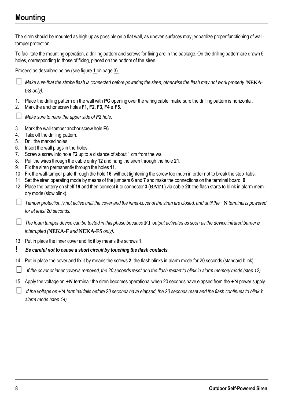# **Mounting**

The siren should be mounted as high up as possible on a flat wall, as uneven surfaces may jeopardize proper functioning of walltamper protection. To facilitate the mounting operation, a drilling pattern and screws for fixing are in the package. On the drilling pattern are drawn 5 holes, corresponding to those of fixing, placed on the bottom of the siren. Proceed as described below (see figure [1](#page-2-0) on page [3\).](#page-2-0) *Make sure that the strobe flash is connected before powering the siren, otherwise the flash may not work properly (***NEKA-FS** *only).* 1. Place the drilling pattern on the wall with **PC** opening over the wiring cable: make sure the drilling pattern is horizontal. 2. Mark the anchor screw holes **F1**, **F2**, **F3**, **F4** e **F5**. *Make sure to mark the upper side of F2 hole.* 3. Mark the wall-tamper anchor screw hole **F6**. 4. Take off the drilling pattern. 5. Drill the marked holes. 6. Insert the wall plugs in the holes. 7. Screw a screw into hole **F2** up to a distance of about 1 cm from the wall. 8. Pull the wires through the cable entry **12** and hang the siren through the hole **21**. 9. Fix the siren permanently through the holes **11**. 10. Fix the wall-tamper plate through the hole **16**, without tightening the screw too much in order not to break the stop tabs. 11. Set the siren operating mode by means of the jumpers **6** and **7** and make the connections on the terminal board **9**. 12. Place the battery on shelf **19** and then connect it to connector **3** (**BATT**) via cable **20**: the flash starts to blink in alarm memory mode (slow blink).  $\Box$  Tamper protection is not active until the cover and the inner-cover of the siren are closed, and until the +N terminal is powered *for at least 20 seconds. The foam tamper device can be tested in this phase because* **FT** *output activates as soon as the device infrared barrier is interrupted (***NEKA-F** *and* **NEKA-FS** *only).* 13. Put in place the inner cover and fix it by means the screws **1**. **!** *Be careful not to cause a short circuit by touching the flash contacts.* 14. Put in place the cover and fix it by means the screws **2**: the flash blinks in alarm mode for 20 seconds (standard blink). *If the cover or inner cover is removed, the 20 seconds reset and the flash restart to blink in alarm memory mode (step 12).* 15. Apply the voltage on **+N** terminal: the siren becomes operational when 20 seconds have elapsed from the **+N** power supply. *If the voltage on* **+N** *terminal fails before 20 seconds have elapsed, the 20 seconds reset and the flash continues to blink in alarm mode (step 14).*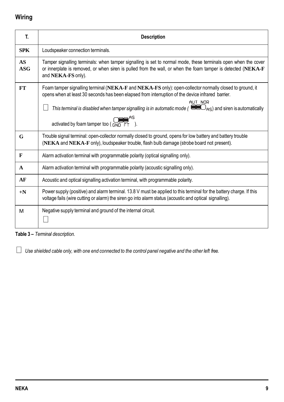# **Wiring**

| T.               | <b>Description</b>                                                                                                                                                                                                                                                                                                                                    |
|------------------|-------------------------------------------------------------------------------------------------------------------------------------------------------------------------------------------------------------------------------------------------------------------------------------------------------------------------------------------------------|
| <b>SPK</b>       | Loudspeaker connection terminals.                                                                                                                                                                                                                                                                                                                     |
| AS<br>$\bf{ASC}$ | Tamper signalling terminals: when tamper signalling is set to normal mode, these terminals open when the cover<br>or innerplate is removed, or when siren is pulled from the wall, or when the foam tamper is detected (NEKA-F<br>and NEKA-FS only).                                                                                                  |
| <b>FT</b>        | Foam tamper signalling terminal (NEKA-F and NEKA-FS only): open-collector normally closed to ground, it<br>opens when at least 30 seconds has been elapsed from interruption of the device infrared barrier.<br>AUT NOR<br>This terminal is disabled when tamper signalling is in automatic mode ( $\bullet$ $\bullet$ As) and siren is automatically |
|                  | activated by foam tamper too $\left(\begin{array}{cc} 0 & 0 \\ \text{GND} & \text{FT} \end{array}\right)$ .                                                                                                                                                                                                                                           |
| G                | Trouble signal terminal: open-collector normally closed to ground, opens for low battery and battery trouble<br>(NEKA and NEKA-F only), loudspeaker trouble, flash bulb damage (strobe board not present).                                                                                                                                            |
| $\mathbf{F}$     | Alarm activation terminal with programmable polarity (optical signalling only).                                                                                                                                                                                                                                                                       |
| A                | Alarm activation terminal with programmable polarity (acoustic signalling only).                                                                                                                                                                                                                                                                      |
| AF               | Acoustic and optical signalling activation terminal, with programmable polarity.                                                                                                                                                                                                                                                                      |
| $+N$             | Power supply (positive) and alarm terminal. 13.8 V must be applied to this terminal for the battery charge. If this<br>voltage fails (wire cutting or alarm) the siren go into alarm status (acoustic and optical signalling).                                                                                                                        |
| м                | Negative supply terminal and ground of the internal circuit.                                                                                                                                                                                                                                                                                          |

**Table 3 –** *Terminal description.*

*Use shielded cable only, with one end connected to the control panel negative and the other left free.*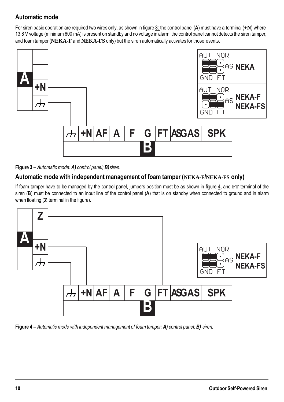## <span id="page-9-0"></span>**Automatic mode**

For siren basic operation are required two wires only, as shown in figure [3: t](#page-9-0)he control panel (**A**) must have a terminal (**+N**) where 13.8 V voltage (minimum 600 mA) is present on standby and no voltage in alarm; the control panel cannot detects the siren tamper, and foam tamper (**NEKA-F** and **NEKA-FS** only) but the siren automatically activates for those events.



**Figure 3 –** *Automatic mode: A) control panel; B)siren.*

## **Automatic mode with independent management of foam tamper (NEKA-F/NEKA-FS only)**

If foam tamper have to be managed by the control panel, jumpers position must be as shown in figure [4](#page-9-0), and **FT** terminal of the siren (**B**) must be connected to an input line of the control panel (**A**) that is on standby when connected to ground and in alarm when floating (**Z** terminal in the figure).



**Figure 4 –** *Automatic mode with independent management of foam tamper: A) control panel; B) siren.*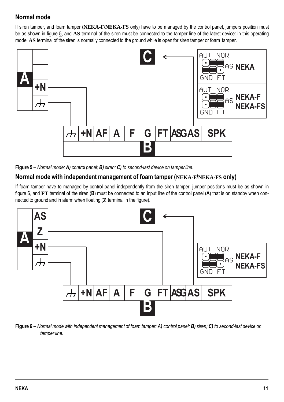## <span id="page-10-0"></span>**Normal mode**

If siren tamper, and foam tamper (**NEKA-F**/**NEKA-FS** only) have to be managed by the control panel, jumpers position must be as shown in figure [5](#page-10-0), and **AS** terminal of the siren must be connected to the tamper line of the latest device: in this operating mode, **AS** terminal of the siren is normally connected to the ground while is open for siren tamper or foam tamper.



**Figure 5 –** *Normal mode: A) control panel; B) siren; C) to second-last device on tamperline.*

#### **Normal mode with independent management of foam tamper (NEKA-F/NEKA-FS only)**

If foam tamper have to managed by control panel independently from the siren tamper, jumper positions must be as shown in figure [6](#page-10-0), and **FT** terminal of the siren (**B**) must be connected to an input line of the control panel (**A**) that is on standby when connected to ground and in alarmwhen floating (**Z** terminal in the figure).



**Figure 6 –** *Normal mode with independent management of foam tamper: A) control panel; B) siren; C) to second-last device on tamper line.*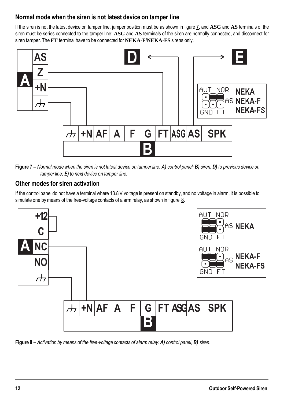## <span id="page-11-0"></span>**Normal mode when the siren is not latest device on tamper line**

If the siren is not the latest device on tamper line, jumper position must be as shown in figure [7](#page-11-0), and **ASG** and **AS** terminals of the siren must be series connected to the tamper line: **ASG** and **AS** terminals of the siren are normally connected, and disconnect for siren tamper. The **FT** terminal have to be connected for **NEKA-F**/**NEKA-FS** sirens only.



**Figure 7 –** *Normal mode when the siren is not latest device on tamper line: A) control panel; B) siren; D) to previous device on tamper line; E) to next device on tamper line.*

## **Other modes for siren activation**

If the control panel do not have a terminal where 13.8 V voltage is present on standby, and no voltage in alarm, it is possible to simulate one by means of the free-voltage contacts of alarm relay, as shown in figure [8.](#page-11-0)



**Figure 8 –** *Activation by means of the free-voltage contacts of alarm relay: A) control panel; B) siren.*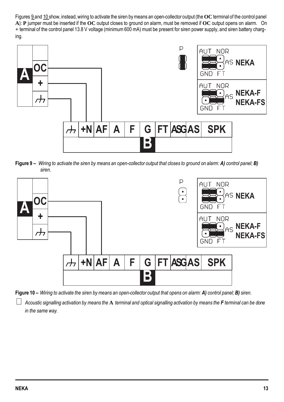<span id="page-12-0"></span>Figures [9](#page-12-0) and [10](#page-12-0) show, instead, wiring to activate the siren by means an open-collector output (the OC terminal of the control panel **A**): **P** jumper must be inserted if the **OC** output closes to ground on alarm, must be removed if **OC** output opens on alarm. On **+** terminal of the control panel 13.8 V voltage (minimum 600 mA) must be present for siren power supply, and siren battery charging.



**Figure 9 –** *Wiring to activate the siren by means an open-collector output that closes to ground on alarm: A) control panel; B) siren.*



**Figure 10 –** *Wiring to activate the siren by means an open-collector output that opens on alarm: A) control panel; B) siren.*

*Acoustic signalling activation by means the* **A** *terminal and optical signalling activation by means the F terminal can be done in the same way.*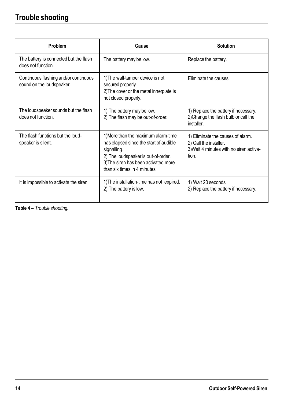# **Trouble shooting**

| Problem                                                            | Cause                                                                                                                                                                                                       | <b>Solution</b>                                                                                                 |
|--------------------------------------------------------------------|-------------------------------------------------------------------------------------------------------------------------------------------------------------------------------------------------------------|-----------------------------------------------------------------------------------------------------------------|
| The battery is connected but the flash<br>does not function.       | The battery may be low.                                                                                                                                                                                     | Replace the battery.                                                                                            |
| Continuous flashing and/or continuous<br>sound on the loudspeaker. | 1) The wall-tamper device is not<br>secured properly.<br>2) The cover or the metal innerplate is<br>not closed properly.                                                                                    | Eliminate the causes.                                                                                           |
| The loudspeaker sounds but the flash<br>does not function          | 1) The battery may be low.<br>2) The flash may be out-of-order.                                                                                                                                             | 1) Replace the battery if necessary.<br>2) Change the flash bulb or call the<br>installer.                      |
| The flash functions but the loud-<br>speaker is silent.            | 1) More than the maximum alarm-time<br>has elapsed since the start of audible<br>signalling.<br>2) The loudspeaker is out-of-order.<br>3) The siren has been activated more<br>than six times in 4 minutes. | 1) Eliminate the causes of alarm.<br>2) Call the installer.<br>3) Wait 4 minutes with no siren activa-<br>tion. |
| It is impossible to activate the siren.                            | 1) The installation-time has not expired.<br>2) The battery is low.                                                                                                                                         | 1) Wait 20 seconds.<br>2) Replace the battery if necessary.                                                     |

**Table 4 –** *Trouble shooting.*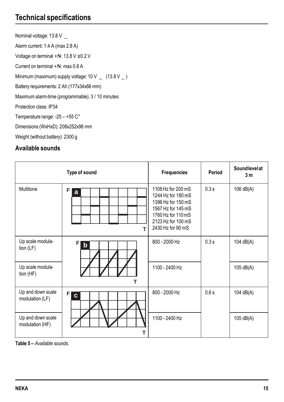# <span id="page-14-0"></span>**Technical specifications**

Nominal voltage: 13.8 V \_ Alarm current: 1.4 A (max 2.8 A) Voltage on terminal **+N**: 13.8 V ±0.2 V Current on terminal **+N**: max 0.6 A Minimum (maximum) supply voltage:  $10 V$   $(13.8 V)$ Battery requirements: 2 Ah (177x34x66 mm) Maximum alarm-time (programmable): 3 / 10 minutes Protection class: IP34 Temperature range: -25 – +55 C° Dimensions (WxHxD): 208x252x98 mm Weight (without battery): 2300 g

## **Available sounds**

|                                      | Type of sound     | <b>Frequencies</b>                                                                                                                                    | Period | Soundlevelat<br>3m |
|--------------------------------------|-------------------|-------------------------------------------------------------------------------------------------------------------------------------------------------|--------|--------------------|
| Multitone                            | F<br>a<br>T       | 1108 Hz for 200 mS<br>1244 Hz for 180 mS<br>1396 Hz for 150 mS<br>1567 Hz for 145 mS<br>1760 Hz for 110 mS<br>2123 Hz for 100 mS<br>2430 Hz for 90 mS | 0.3 s  | 106 dB(A)          |
| Up scale modula-<br>tion $(LF)$      | F<br>$\mathbf b$  | 800 - 2000 Hz                                                                                                                                         | 0.3 s  | 104 dB(A)          |
| Up scale modula-<br>tion $(HF)$      | т                 | 1100 - 2400 Hz                                                                                                                                        |        | 105 dB(A)          |
| Up and down scale<br>modulation (LF) | F<br><sub>c</sub> | 800 - 2000 Hz                                                                                                                                         | 0.6 s  | 104 dB(A)          |
| Up and down scale<br>modulation (HF) | т                 | 1100 - 2400 Hz                                                                                                                                        |        | 105 dB(A)          |

**Table 5 –** *Available sounds.*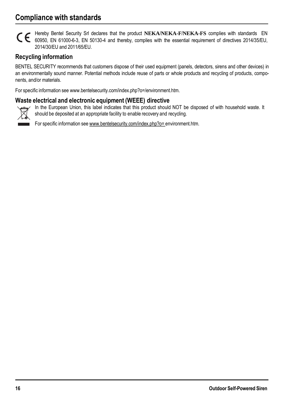# **Compliance with standards**

Hereby Bentel Security Srl declares that the product **NEKA**/**NEKA-F**/**NEKA-FS** complies with standards EN General Berner Security on Geodesia and thereby, complies with the essential requirement of directives 2014/35/EU, 2014/30/EU and 2011/65/EU.

#### **Recycling information**

BENTEL SECURITY recommends that customers dispose of their used equipment (panels, detectors, sirens and other devices) in an environmentally sound manner. Potential methods include reuse of parts or whole products and recycling of products, components, and/or materials.

For specific information see www.bentelsecurity.com/index.php?o=/environment.htm.

#### **Waste electrical and electronic equipment (WEEE) directive**



In the European Union, this label indicates that this product should NOT be disposed of with household waste. It should be deposited at an appropriate facility to enable recovery and recycling.

For specific information see [www.bentelsecurity.com/index.php?o=](http://www.bentelsecurity.com/index.php?o) environment.htm.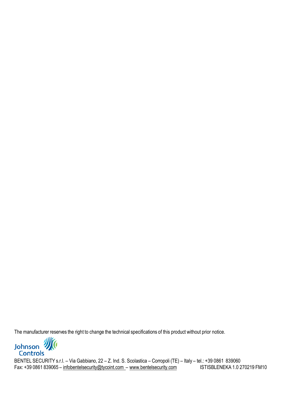The manufacturer reserves the right to change the technical specifications of this product without prior notice.



BENTEL SECURITY s.r.l. – Via Gabbiano, 22 – Z. Ind. S. Scolastica – Corropoli (TE) – Italy – tel.: +39 0861 839060<br>Fax: +39 0861 839065 – infobentelsecurity@tycoint.com – www.bentelsecurity.com [STISBLENEKA 1.0 270219 FM10 Fax: +39 0861 839065 – [infobentelsecurity@tycoint.com](mailto:infobentelsecurity@tycoint.com) – [www.bentelsecurity.com](http://www.bentelsecurity.com/)